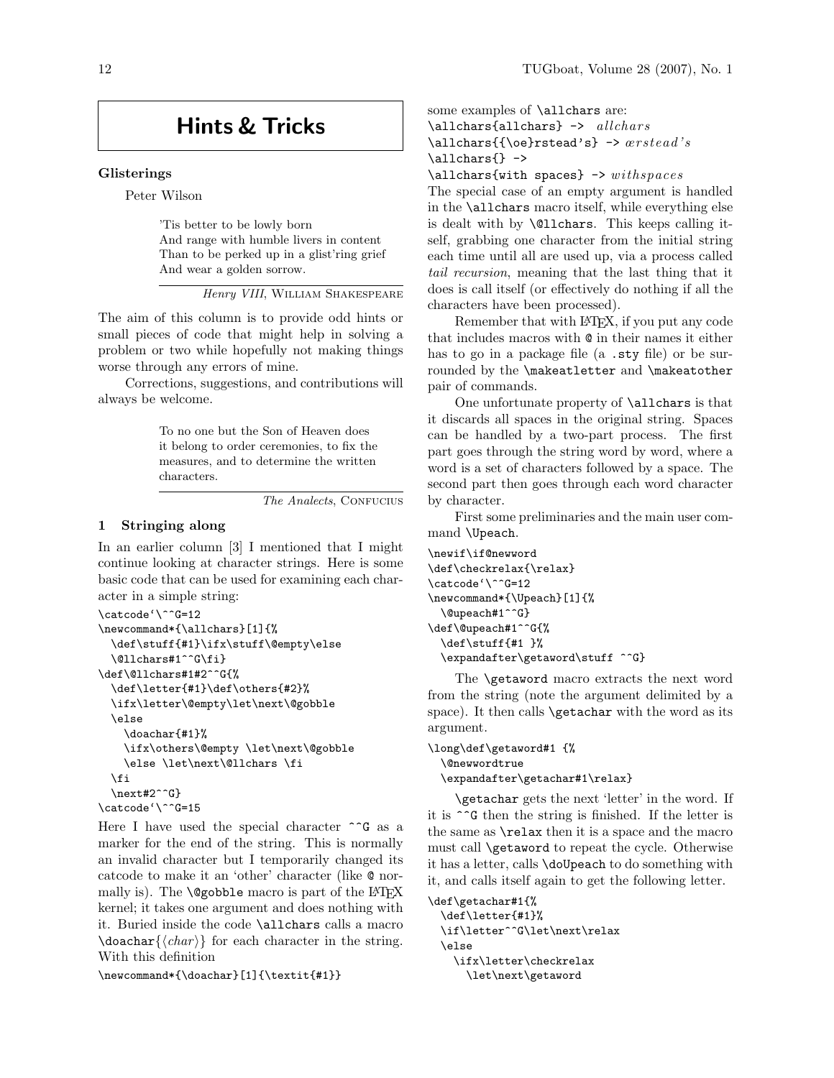# Hints & Tricks

#### Glisterings

Peter Wilson

'Tis better to be lowly born And range with humble livers in content Than to be perked up in a glist'ring grief And wear a golden sorrow.

Henry VIII, William Shakespeare

The aim of this column is to provide odd hints or small pieces of code that might help in solving a problem or two while hopefully not making things worse through any errors of mine.

Corrections, suggestions, and contributions will always be welcome.

> To no one but the Son of Heaven does it belong to order ceremonies, to fix the measures, and to determine the written characters.

> > The Analects, CONFUCIUS

## 1 Stringing along

In an earlier column [3] I mentioned that I might continue looking at character strings. Here is some basic code that can be used for examining each character in a simple string:

```
\catcode'\^^G=12
\newcommand*{\allchars}[1]{%
  \def\stuff{#1}\ifx\stuff\@empty\else
  \@llchars#1^^G\fi}
\def\@llchars#1#2^^G{%
  \def\letter{#1}\def\others{#2}%
  \ifx\letter\@empty\let\next\@gobble
  \else
    \doachar{#1}%
    \ifx\others\@empty \let\next\@gobble
    \else \let\next\@llchars \fi
  \fi
  \next#2^^G}
\catcode'\^^G=15
```
Here I have used the special character  $\hat{G}$  as a marker for the end of the string. This is normally an invalid character but I temporarily changed its catcode to make it an 'other' character (like @ normally is). The  $\qquad$   $\qquad$   $\qquad$   $\qquad$   $\qquad$   $\qquad$   $\qquad$   $\qquad$   $\qquad$   $\qquad$   $\qquad$   $\qquad$   $\qquad$   $\qquad$   $\qquad$   $\qquad$   $\qquad$   $\qquad$   $\qquad$   $\qquad$   $\qquad$   $\qquad$   $\qquad$   $\qquad$   $\qquad$   $\qquad$   $\qquad$   $\qquad$   $\qquad$   $\qquad$   $\qquad$   $\qquad$   $\qquad$   $\qquad$   $\$ kernel; it takes one argument and does nothing with it. Buried inside the code \allchars calls a macro  $\doachar {\langle char \rangle}$  for each character in the string. With this definition

\newcommand\*{\doachar}[1]{\textit{#1}}

some examples of \allchars are:  $\lambda$   $\lambda$  allchars  $\lambda$  ->  $allchars$ 

\allchars ${\{\,\}$ e}rstead's} ->  $ærstead's$ \allchars{} ->

 $\lambda$   $\lambda$  allchars {with spaces} -> withspaces}

The special case of an empty argument is handled in the \allchars macro itself, while everything else is dealt with by \@llchars. This keeps calling itself, grabbing one character from the initial string each time until all are used up, via a process called tail recursion, meaning that the last thing that it does is call itself (or effectively do nothing if all the characters have been processed).

Remember that with LAT<sub>EX</sub>, if you put any code that includes macros with @ in their names it either has to go in a package file (a .sty file) or be surrounded by the \makeatletter and \makeatother pair of commands.

One unfortunate property of \allchars is that it discards all spaces in the original string. Spaces can be handled by a two-part process. The first part goes through the string word by word, where a word is a set of characters followed by a space. The second part then goes through each word character by character.

First some preliminaries and the main user command \Upeach.

```
\newif\if@newword
\def\checkrelax{\relax}
\catcode'\^^G=12
\newcommand*{\Upeach}[1]{%
  \@upeach#1^^G}
\def\@upeach#1^^G{%
  \def\stuff{#1 }%
  \expandafter\getaword\stuff ^^G}
```
The **\getaword** macro extracts the next word from the string (note the argument delimited by a space). It then calls **\getachar** with the word as its argument.

```
\long\def\getaword#1 {%
 \@newwordtrue
 \expandafter\getachar#1\relax}
```
\getachar gets the next 'letter' in the word. If it is ^^G then the string is finished. If the letter is the same as \relax then it is a space and the macro must call \getaword to repeat the cycle. Otherwise it has a letter, calls \doUpeach to do something with it, and calls itself again to get the following letter.

```
\def\getachar#1{%
 \def\letter{#1}%
 \if\letter^^G\let\next\relax
 \else
   \ifx\letter\checkrelax
      \let\next\getaword
```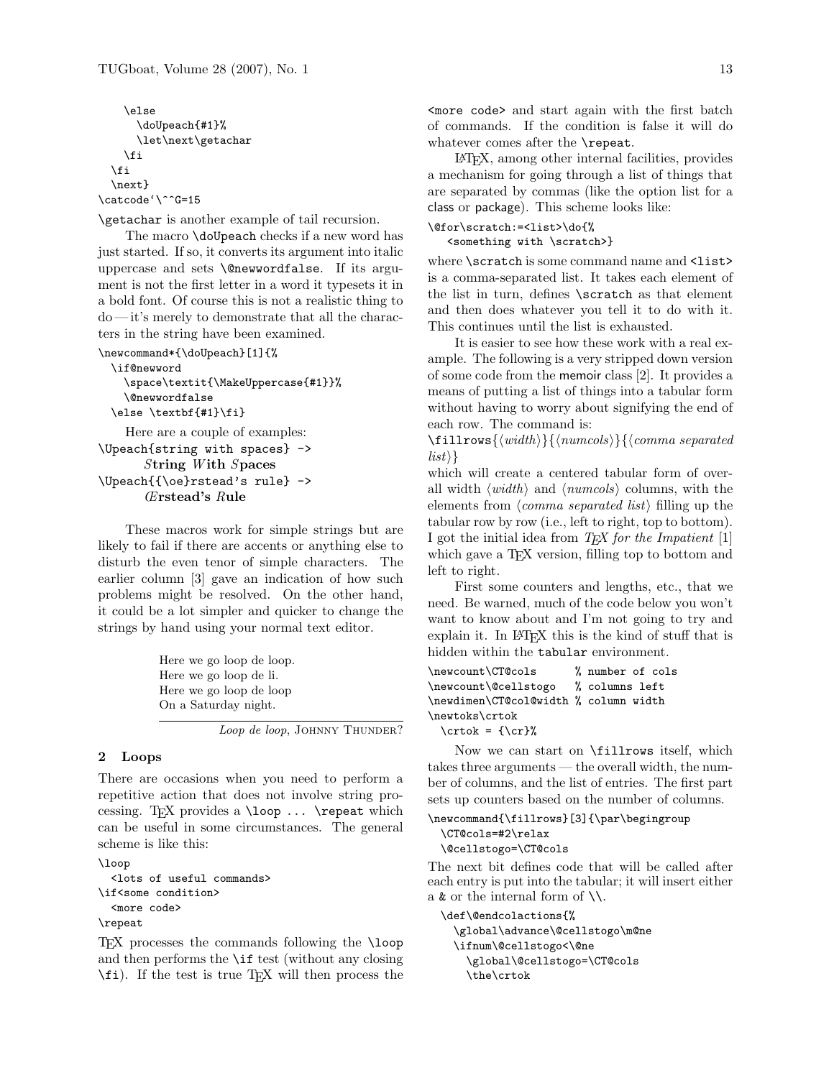```
\else
      \doUpeach{#1}%
      \let\next\getachar
    \fi
  \fi
  \next}
\catcode'\^^G=15
```
\getachar is another example of tail recursion.

The macro \doUpeach checks if a new word has just started. If so, it converts its argument into italic uppercase and sets \@newwordfalse. If its argument is not the first letter in a word it typesets it in a bold font. Of course this is not a realistic thing to do — it's merely to demonstrate that all the characters in the string have been examined.

```
\newcommand*{\doUpeach}[1]{%
 \if@newword
   \space\textit{\MakeUppercase{#1}}%
```

```
\@newwordfalse
\else \textbf{#1}\fi}
```
Here are a couple of examples: \Upeach{string with spaces} -> String With Spaces \Upeach{{\oe}rstead's rule} -> Œrstead's Rule

These macros work for simple strings but are likely to fail if there are accents or anything else to disturb the even tenor of simple characters. The earlier column [3] gave an indication of how such problems might be resolved. On the other hand, it could be a lot simpler and quicker to change the strings by hand using your normal text editor.

> Here we go loop de loop. Here we go loop de li. Here we go loop de loop On a Saturday night.

> > Loop de loop, JOHNNY THUNDER?

#### 2 Loops

There are occasions when you need to perform a repetitive action that does not involve string processing. TFX provides a  $\lozenge$  ...  $\boldsymbol{\cdot}$  repeat which can be useful in some circumstances. The general scheme is like this:

```
\loop
  <lots of useful commands>
\if<some condition>
  <more code>
\repeat
```
TEX processes the commands following the \loop and then performs the  $\iota$  if test (without any closing \fi). If the test is true T<sub>EX</sub> will then process the <more code> and start again with the first batch of commands. If the condition is false it will do whatever comes after the \repeat.

LATEX, among other internal facilities, provides a mechanism for going through a list of things that are separated by commas (like the option list for a class or package). This scheme looks like:

```
\@for\scratch:=<list>\do{%
```
<something with \scratch>}

where \scratch is some command name and <list> is a comma-separated list. It takes each element of the list in turn, defines \scratch as that element and then does whatever you tell it to do with it. This continues until the list is exhausted.

It is easier to see how these work with a real example. The following is a very stripped down version of some code from the memoir class [2]. It provides a means of putting a list of things into a tabular form without having to worry about signifying the end of each row. The command is:

 $\{with\}$ {\mumcols}}{\comma separated  $\langle list \rangle$ 

which will create a centered tabular form of overall width  $\langle width \rangle$  and  $\langle numcols \rangle$  columns, with the elements from  $\langle comm$  separated list) filling up the tabular row by row (i.e., left to right, top to bottom). I got the initial idea from  $TEX$  for the Impatient [1] which gave a TEX version, filling top to bottom and left to right.

First some counters and lengths, etc., that we need. Be warned, much of the code below you won't want to know about and I'm not going to try and explain it. In LAT<sub>EX</sub> this is the kind of stuff that is hidden within the tabular environment.

```
\newcount\CT@cols % number of cols
\newcount\@cellstogo % columns left
\newdimen\CT@col@width % column width
\newtoks\crtok
 \cctok = {\cr}
```
Now we can start on \fillrows itself, which takes three arguments — the overall width, the number of columns, and the list of entries. The first part sets up counters based on the number of columns.

```
\newcommand{\fillrows}[3]{\par\begingroup
  \CT@cols=#2\relax
  \@cellstogo=\CT@cols
```
The next bit defines code that will be called after each entry is put into the tabular; it will insert either a  $\&$  or the internal form of  $\setminus \setminus$ .

\def\@endcolactions{% \global\advance\@cellstogo\m@ne \ifnum\@cellstogo<\@ne \global\@cellstogo=\CT@cols \the\crtok